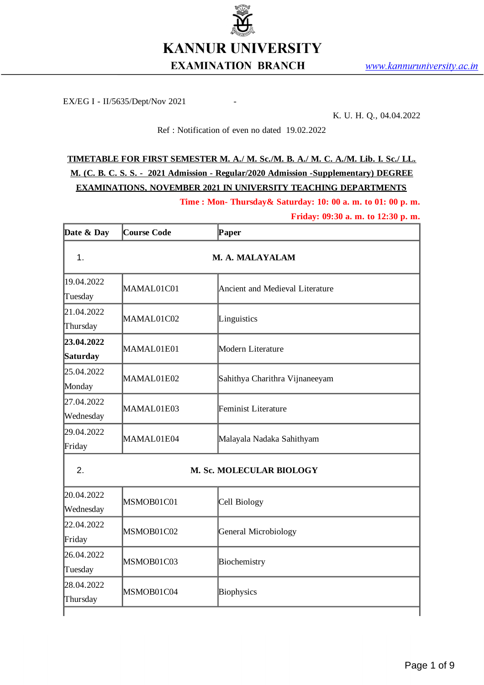

EX/EG I - II/5635/Dept/Nov 2021

K. U. H. Q., 04.04.2022

## Ref : Notification of even no dated 19.02.2022

## **TIMETABLE FOR FIRST SEMESTER M. A./ M. Sc./M. B. A./ M. C. A./M. Lib. I. Sc./ LL. M. (C. B. C. S. S. - 2021 Admission - Regular/2020 Admission -Supplementary) DEGREE EXAMINATIONS, NOVEMBER 2021 IN UNIVERSITY TEACHING DEPARTMENTS**

**Time : Mon- Thursday& Saturday: 10: 00 a. m. to 01: 00 p. m.**

**Friday: 09:30 a. m. to 12:30 p. m.**

| Date & Day              | Course Code | Paper                           |
|-------------------------|-------------|---------------------------------|
| $\mathbf{1}$ .          |             | M. A. MALAYALAM                 |
| 19.04.2022<br>Tuesday   | MAMAL01C01  | Ancient and Medieval Literature |
| 21.04.2022<br>Thursday  | MAMAL01C02  | Linguistics                     |
| 23.04.2022<br>Saturday  | MAMAL01E01  | Modern Literature               |
| 25.04.2022<br>Monday    | MAMAL01E02  | Sahithya Charithra Vijnaneeyam  |
| 27.04.2022<br>Wednesday | MAMAL01E03  | <b>Feminist Literature</b>      |
| 29.04.2022<br>Friday    | MAMAL01E04  | Malayala Nadaka Sahithyam       |
| 2.                      |             | M. Sc. MOLECULAR BIOLOGY        |
| 20.04.2022<br>Wednesday | MSMOB01C01  | Cell Biology                    |
| 22.04.2022<br>Friday    | MSMOB01C02  | <b>General Microbiology</b>     |
| 26.04.2022<br>Tuesday   | MSMOB01C03  | Biochemistry                    |
| 28.04.2022<br>Thursday  | MSMOB01C04  | <b>Biophysics</b>               |
|                         |             |                                 |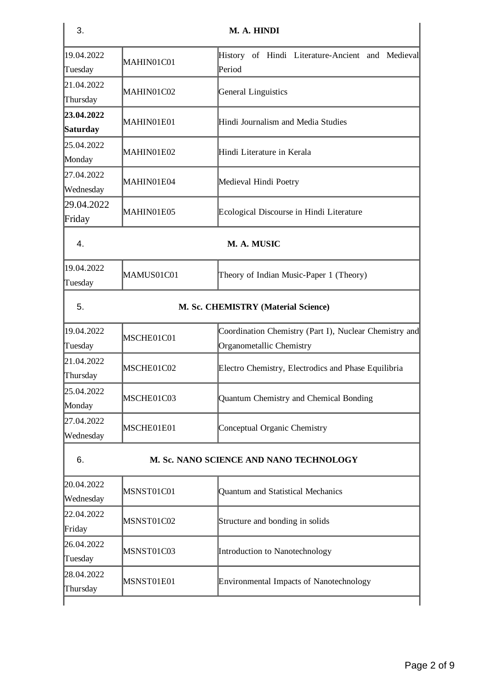| 3.                      |                                     | M. A. HINDI                                                                        |  |
|-------------------------|-------------------------------------|------------------------------------------------------------------------------------|--|
| 19.04.2022<br>Tuesday   | MAHIN01C01                          | History of Hindi Literature-Ancient and Medieval<br>Period                         |  |
| 21.04.2022<br>Thursday  | MAHIN01C02                          | <b>General Linguistics</b>                                                         |  |
| 23.04.2022<br>Saturday  | MAHIN01E01                          | Hindi Journalism and Media Studies                                                 |  |
| 25.04.2022<br>Monday    | MAHIN01E02                          | Hindi Literature in Kerala                                                         |  |
| 27.04.2022<br>Wednesday | MAHIN01E04                          | Medieval Hindi Poetry                                                              |  |
| 29.04.2022<br>Friday    | MAHIN01E05                          | Ecological Discourse in Hindi Literature                                           |  |
| 4.                      | M. A. MUSIC                         |                                                                                    |  |
| 19.04.2022<br>Tuesday   | MAMUS01C01                          | Theory of Indian Music-Paper 1 (Theory)                                            |  |
| 5.                      | M. Sc. CHEMISTRY (Material Science) |                                                                                    |  |
| 19.04.2022<br>Tuesday   | MSCHE01C01                          | Coordination Chemistry (Part I), Nuclear Chemistry and<br>Organometallic Chemistry |  |
| 21.04.2022<br>Thursday  | MSCHE01C02                          | Electro Chemistry, Electrodics and Phase Equilibria                                |  |
| 25.04.2022<br>Monday    | MSCHE01C03                          | Quantum Chemistry and Chemical Bonding                                             |  |
| 27.04.2022<br>Wednesday | MSCHE01E01                          | Conceptual Organic Chemistry                                                       |  |
| 6.                      |                                     | M. Sc. NANO SCIENCE AND NANO TECHNOLOGY                                            |  |
| 20.04.2022<br>Wednesday | MSNST01C01                          | Quantum and Statistical Mechanics                                                  |  |
| 22.04.2022<br>Friday    | MSNST01C02                          | Structure and bonding in solids                                                    |  |
| 26.04.2022<br>Tuesday   | MSNST01C03                          | Introduction to Nanotechnology                                                     |  |
| 28.04.2022<br>Thursday  | MSNST01E01                          | Environmental Impacts of Nanotechnology                                            |  |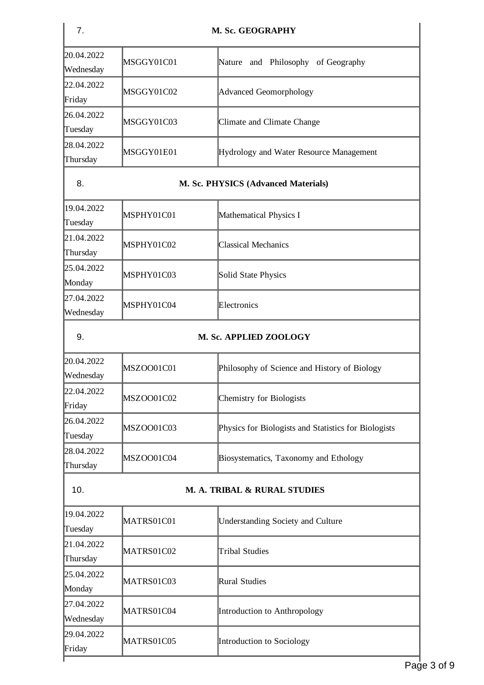| 7.                      |                                     | M. Sc. GEOGRAPHY                                     |  |
|-------------------------|-------------------------------------|------------------------------------------------------|--|
| 20.04.2022<br>Wednesday | MSGGY01C01                          | Nature and Philosophy of Geography                   |  |
| 22.04.2022<br>Friday    | MSGGY01C02                          | Advanced Geomorphology                               |  |
| 26.04.2022<br>Tuesday   | MSGGY01C03                          | Climate and Climate Change                           |  |
| 28.04.2022<br>Thursday  | MSGGY01E01                          | Hydrology and Water Resource Management              |  |
| 8.                      | M. Sc. PHYSICS (Advanced Materials) |                                                      |  |
| 19.04.2022<br>Tuesday   | MSPHY01C01                          | Mathematical Physics I                               |  |
| 21.04.2022<br>Thursday  | MSPHY01C02                          | <b>Classical Mechanics</b>                           |  |
| 25.04.2022<br>Monday    | MSPHY01C03                          | <b>Solid State Physics</b>                           |  |
| 27.04.2022<br>Wednesday | MSPHY01C04                          | Electronics                                          |  |
| 9.                      |                                     | M. Sc. APPLIED ZOOLOGY                               |  |
| 20.04.2022<br>Wednesday | MSZOO01C01                          | Philosophy of Science and History of Biology         |  |
| 22.04.2022<br>Friday    | MSZOO01C02                          | <b>Chemistry for Biologists</b>                      |  |
| 26.04.2022<br>Tuesday   | MSZOO01C03                          | Physics for Biologists and Statistics for Biologists |  |
| 28.04.2022<br>Thursday  | MSZOO01C04                          | Biosystematics, Taxonomy and Ethology                |  |
| 10.                     |                                     | M. A. TRIBAL & RURAL STUDIES                         |  |
| 19.04.2022<br>Tuesday   | MATRS01C01                          | <b>Understanding Society and Culture</b>             |  |
| 21.04.2022<br>Thursday  | MATRS01C02                          | <b>Tribal Studies</b>                                |  |
| 25.04.2022<br>Monday    | MATRS01C03                          | Rural Studies                                        |  |
| 27.04.2022<br>Wednesday | MATRS01C04                          | Introduction to Anthropology                         |  |
| 29.04.2022<br>Friday    | MATRS01C05                          | Introduction to Sociology                            |  |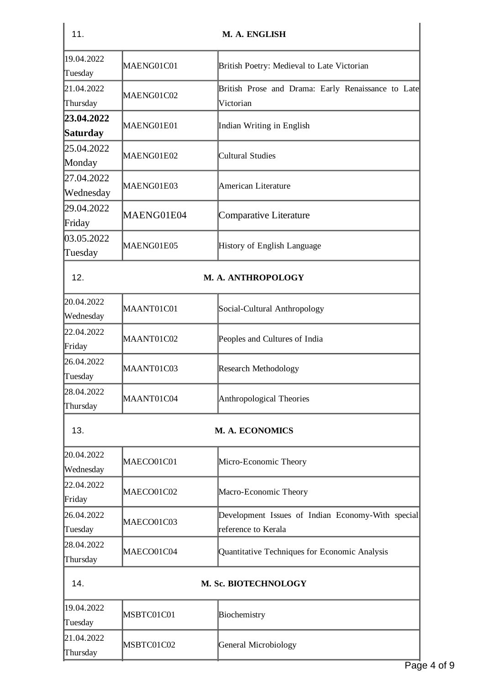| 11.                           |            | M. A. ENGLISH                                                            |
|-------------------------------|------------|--------------------------------------------------------------------------|
| 19.04.2022<br>Tuesday         | MAENG01C01 | British Poetry: Medieval to Late Victorian                               |
| 21.04.2022<br>Thursday        | MAENG01C02 | British Prose and Drama: Early Renaissance to Late<br>Victorian          |
| 23.04.2022<br><b>Saturday</b> | MAENG01E01 | Indian Writing in English                                                |
| 25.04.2022<br>Monday          | MAENG01E02 | <b>Cultural Studies</b>                                                  |
| 27.04.2022<br>Wednesday       | MAENG01E03 | American Literature                                                      |
| 29.04.2022<br>Friday          | MAENG01E04 | Comparative Literature                                                   |
| 03.05.2022<br>Tuesday         | MAENG01E05 | History of English Language                                              |
| 12.                           |            | M. A. ANTHROPOLOGY                                                       |
| 20.04.2022<br>Wednesday       | MAANT01C01 | Social-Cultural Anthropology                                             |
| 22.04.2022<br>Friday          | MAANT01C02 | Peoples and Cultures of India                                            |
| 26.04.2022<br>Tuesday         | MAANT01C03 | Research Methodology                                                     |
| 28.04.2022<br>Thursday        | MAANT01C04 | Anthropological Theories                                                 |
| 13.                           |            | <b>M. A. ECONOMICS</b>                                                   |
| 20.04.2022<br>Wednesday       | MAECO01C01 | Micro-Economic Theory                                                    |
| 22.04.2022<br>Friday          | MAECO01C02 | Macro-Economic Theory                                                    |
| 26.04.2022<br>Tuesday         | MAECO01C03 | Development Issues of Indian Economy-With special<br>reference to Kerala |
| 28.04.2022<br>Thursday        | MAECO01C04 | Quantitative Techniques for Economic Analysis                            |
| 14.                           |            | M. Sc. BIOTECHNOLOGY                                                     |
| 19.04.2022<br>Tuesday         | MSBTC01C01 | Biochemistry                                                             |
| 21.04.2022<br>Thursday        | MSBTC01C02 | General Microbiology                                                     |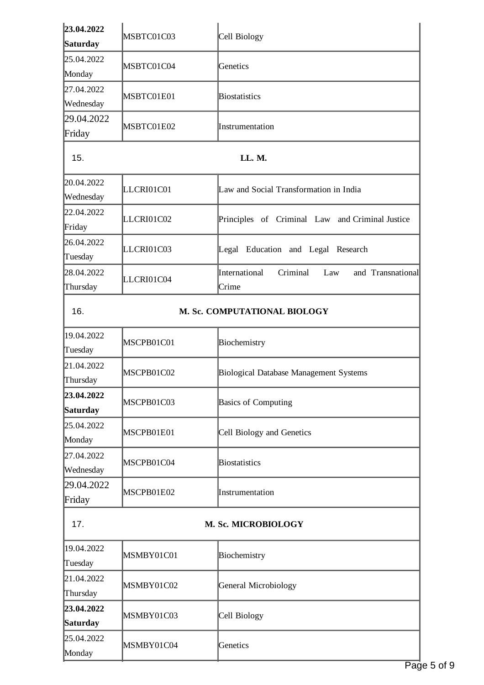| 23.04.2022              | MSBTC01C03 | Cell Biology                                                   |
|-------------------------|------------|----------------------------------------------------------------|
| Saturday                |            |                                                                |
| 25.04.2022<br>Monday    | MSBTC01C04 | Genetics                                                       |
| 27.04.2022              |            |                                                                |
| Wednesday               | MSBTC01E01 | <b>Biostatistics</b>                                           |
| 29.04.2022              |            |                                                                |
| Friday                  | MSBTC01E02 | Instrumentation                                                |
| 15.                     |            | LL. M.                                                         |
| 20.04.2022<br>Wednesday | LLCRI01C01 | Law and Social Transformation in India                         |
| 22.04.2022<br>Friday    | LLCRI01C02 | Principles of Criminal Law and Criminal Justice                |
| 26.04.2022<br>Tuesday   | LLCRI01C03 | Legal Education and Legal Research                             |
| 28.04.2022<br>Thursday  | LLCRI01C04 | International<br>Criminal<br>and Transnational<br>Law<br>Crime |
| 16.                     |            | M. Sc. COMPUTATIONAL BIOLOGY                                   |
| 19.04.2022<br>Tuesday   | MSCPB01C01 | Biochemistry                                                   |
| 21.04.2022<br>Thursday  | MSCPB01C02 | Biological Database Management Systems                         |
| 23.04.2022<br>Saturday  | MSCPB01C03 | <b>Basics of Computing</b>                                     |
| 25.04.2022<br>Monday    | MSCPB01E01 | Cell Biology and Genetics                                      |
| 27.04.2022<br>Wednesday | MSCPB01C04 | <b>Biostatistics</b>                                           |
| 29.04.2022<br>Friday    | MSCPB01E02 | Instrumentation                                                |
| 17.                     |            | M. Sc. MICROBIOLOGY                                            |
| 19.04.2022<br>Tuesday   | MSMBY01C01 | Biochemistry                                                   |
| 21.04.2022<br>Thursday  | MSMBY01C02 | <b>General Microbiology</b>                                    |
| 23.04.2022<br>Saturday  | MSMBY01C03 | Cell Biology                                                   |
| 25.04.2022<br>Monday    | MSMBY01C04 | Genetics                                                       |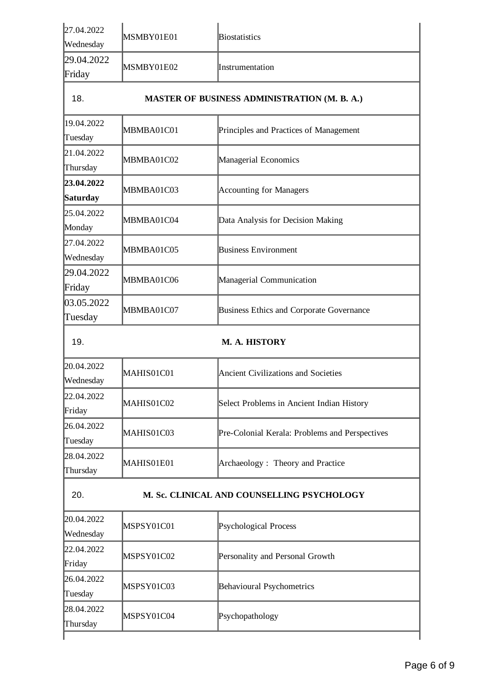| 27.04.2022<br>Wednesday                           | MSMBY01E01                                          | <b>Biostatistics</b>                           |  |  |
|---------------------------------------------------|-----------------------------------------------------|------------------------------------------------|--|--|
| 29.04.2022<br>Friday                              | MSMBY01E02                                          | Instrumentation                                |  |  |
| 18.                                               | <b>MASTER OF BUSINESS ADMINISTRATION (M. B. A.)</b> |                                                |  |  |
| 19.04.2022<br>Tuesday                             | MBMBA01C01                                          | Principles and Practices of Management         |  |  |
| 21.04.2022<br>Thursday                            | MBMBA01C02                                          | Managerial Economics                           |  |  |
| 23.04.2022<br>Saturday                            | MBMBA01C03                                          | <b>Accounting for Managers</b>                 |  |  |
| 25.04.2022<br>Monday                              | MBMBA01C04                                          | Data Analysis for Decision Making              |  |  |
| 27.04.2022<br>Wednesday                           | MBMBA01C05                                          | <b>Business Environment</b>                    |  |  |
| 29.04.2022<br>Friday                              | MBMBA01C06                                          | Managerial Communication                       |  |  |
| 03.05.2022<br>Tuesday                             | MBMBA01C07                                          | Business Ethics and Corporate Governance       |  |  |
| 19.                                               |                                                     | <b>M. A. HISTORY</b>                           |  |  |
| 20.04.2022<br>Wednesday                           | MAHIS01C01                                          | <b>Ancient Civilizations and Societies</b>     |  |  |
| 22.04.2022<br>Friday                              | MAHIS01C02                                          | Select Problems in Ancient Indian History      |  |  |
| 26.04.2022<br>Tuesday                             | MAHIS01C03                                          | Pre-Colonial Kerala: Problems and Perspectives |  |  |
| 28.04.2022<br>Thursday                            | MAHIS01E01                                          | Archaeology: Theory and Practice               |  |  |
| 20.<br>M. Sc. CLINICAL AND COUNSELLING PSYCHOLOGY |                                                     |                                                |  |  |
| 20.04.2022<br>Wednesday                           | MSPSY01C01                                          | Psychological Process                          |  |  |
| 22.04.2022<br>Friday                              | MSPSY01C02                                          | Personality and Personal Growth                |  |  |
| 26.04.2022<br>Tuesday                             | MSPSY01C03                                          | Behavioural Psychometrics                      |  |  |
| 28.04.2022<br>Thursday                            | MSPSY01C04                                          | Psychopathology                                |  |  |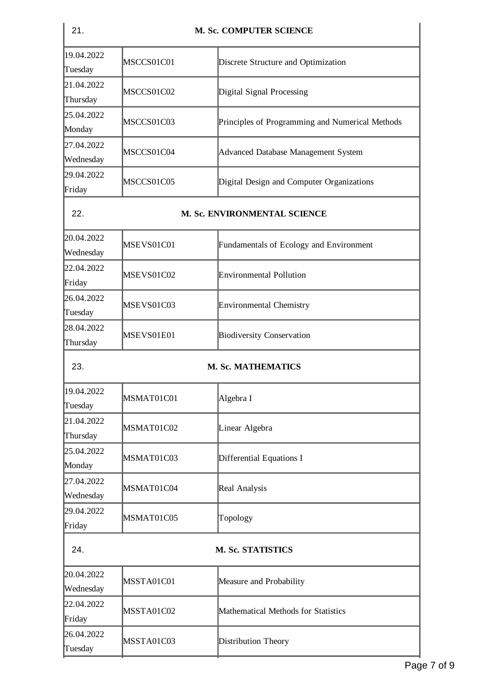| 21.                     | <b>M. Sc. COMPUTER SCIENCE</b> |                                                 |  |
|-------------------------|--------------------------------|-------------------------------------------------|--|
| 19.04.2022<br>Tuesday   | MSCCS01C01                     | Discrete Structure and Optimization             |  |
| 21.04.2022<br>Thursday  | MSCCS01C02                     | Digital Signal Processing                       |  |
| 25.04.2022<br>Monday    | MSCCS01C03                     | Principles of Programming and Numerical Methods |  |
| 27.04.2022<br>Wednesday | MSCCS01C04                     | Advanced Database Management System             |  |
| 29.04.2022<br>Friday    | MSCCS01C05                     | Digital Design and Computer Organizations       |  |
| 22.                     | M. Sc. ENVIRONMENTAL SCIENCE   |                                                 |  |
| 20.04.2022<br>Wednesday | MSEVS01C01                     | <b>Fundamentals of Ecology and Environment</b>  |  |
| 22.04.2022<br>Friday    | MSEVS01C02                     | Environmental Pollution                         |  |
| 26.04.2022<br>Tuesday   | MSEVS01C03                     | <b>Environmental Chemistry</b>                  |  |
| 28.04.2022<br>Thursday  | MSEVS01E01                     | <b>Biodiversity Conservation</b>                |  |
| 23.                     |                                | <b>M. Sc. MATHEMATICS</b>                       |  |
| 19.04.2022<br>Tuesday   | MSMAT01C01                     | Algebra I                                       |  |
| 21.04.2022<br>Thursday  | MSMAT01C02                     | Linear Algebra                                  |  |
| 25.04.2022<br>Monday    | MSMAT01C03                     | Differential Equations I                        |  |
| 27.04.2022<br>Wednesday | MSMAT01C04                     | Real Analysis                                   |  |
| 29.04.2022<br>Friday    | MSMAT01C05                     | Topology                                        |  |
| 24.                     |                                | M. Sc. STATISTICS                               |  |
| 20.04.2022<br>Wednesday | MSSTA01C01                     | Measure and Probability                         |  |
| 22.04.2022<br>Friday    | MSSTA01C02                     | Mathematical Methods for Statistics             |  |
| 26.04.2022<br>Tuesday   | MSSTA01C03                     | <b>Distribution Theory</b>                      |  |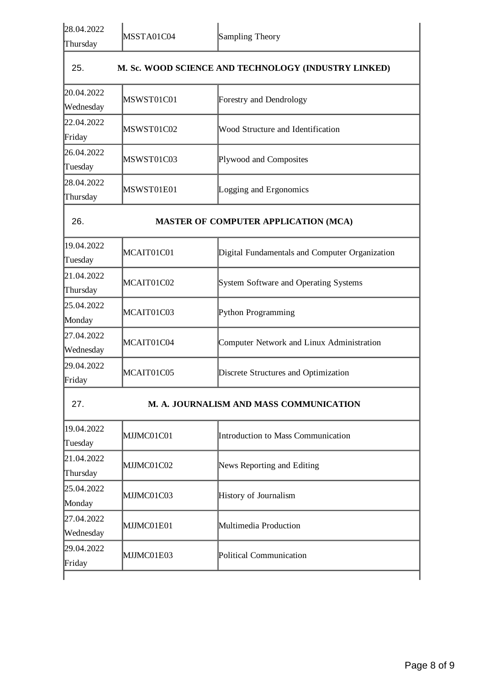| 28.04.2022<br>Thursday                         | MSSTA01C04                                  | <b>Sampling Theory</b>                               |  |
|------------------------------------------------|---------------------------------------------|------------------------------------------------------|--|
| 25.                                            |                                             | M. Sc. WOOD SCIENCE AND TECHNOLOGY (INDUSTRY LINKED) |  |
| 20.04.2022<br>Wednesday                        | MSWST01C01                                  | <b>Forestry and Dendrology</b>                       |  |
| 22.04.2022<br>Friday                           | MSWST01C02                                  | Wood Structure and Identification                    |  |
| 26.04.2022<br>Tuesday                          | MSWST01C03                                  | Plywood and Composites                               |  |
| 28.04.2022<br>Thursday                         | MSWST01E01                                  | Logging and Ergonomics                               |  |
| 26.                                            | <b>MASTER OF COMPUTER APPLICATION (MCA)</b> |                                                      |  |
| 19.04.2022<br>Tuesday                          | MCAIT01C01                                  | Digital Fundamentals and Computer Organization       |  |
| 21.04.2022<br>Thursday                         | MCAIT01C02                                  | <b>System Software and Operating Systems</b>         |  |
| 25.04.2022<br>Monday                           | MCAIT01C03                                  | Python Programming                                   |  |
| 27.04.2022<br>Wednesday                        | MCAIT01C04                                  | Computer Network and Linux Administration            |  |
| 29.04.2022<br>Friday                           | MCAIT01C05                                  | Discrete Structures and Optimization                 |  |
| 27.<br>M. A. JOURNALISM AND MASS COMMUNICATION |                                             |                                                      |  |
| 19.04.2022<br>Tuesday                          | MJJMC01C01                                  | <b>Introduction to Mass Communication</b>            |  |
| 21.04.2022<br>Thursday                         | MJJMC01C02                                  | News Reporting and Editing                           |  |
| 25.04.2022<br>Monday                           | MJJMC01C03                                  | History of Journalism                                |  |
| 27.04.2022<br>Wednesday                        | MJJMC01E01                                  | Multimedia Production                                |  |
| 29.04.2022<br>Friday                           | MJJMC01E03                                  | Political Communication                              |  |